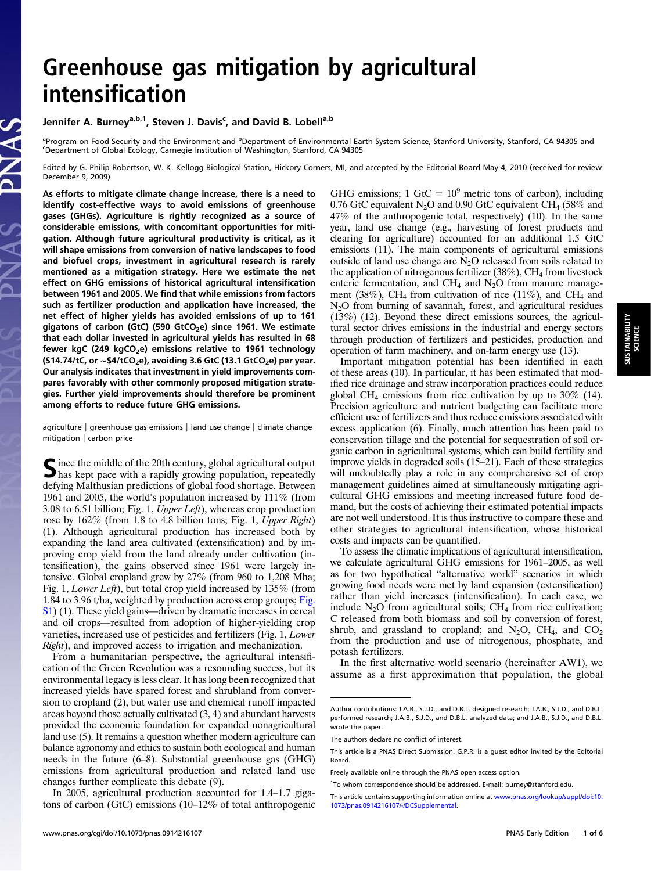# intensification<br>
Jennifer A. Burney<sup>a,b,1</sup>, Steven J. Davis<sup>c</sup>, and David B. Lobell<sup>a,b</sup>

# Jennifer A. Burney<sup>a,b,1</sup>, Steven J. Davis<sup>c</sup>, and David B. Lobell<sup>a,b</sup>

<sup>a</sup> Program on Food Security and the Environment and <sup>b</sup> Department of Environmental Earth System Science, Stanford University, Stanford, CA 94305 and<br>S Department of Global Eccleau, Carpogic Institution of Washington, Sta Department of Global Ecology, Carnegie Institution of Washington, Stanford, CA 94305

Edited by G. Philip Robertson, W. K. Kellogg Biological Station, Hickory Corners, MI, and accepted by the Editorial Board May 4, 2010 (received for review December 9, 2009)

As efforts to mitigate climate change increase, there is a need to identify cost-effective ways to avoid emissions of greenhouse gases (GHGs). Agriculture is rightly recognized as a source of considerable emissions, with concomitant opportunities for mitigation. Although future agricultural productivity is critical, as it will shape emissions from conversion of native landscapes to food and biofuel crops, investment in agricultural research is rarely mentioned as a mitigation strategy. Here we estimate the net effect on GHG emissions of historical agricultural intensification between 1961 and 2005. We find that while emissions from factors such as fertilizer production and application have increased, the net effect of higher yields has avoided emissions of up to 161 gigatons of carbon (GtC) (590 GtCO<sub>2</sub>e) since 1961. We estimate that each dollar invested in agricultural yields has resulted in 68 fewer kgC (249 kgCO<sub>2</sub>e) emissions relative to 1961 technology (\$14.74/tC, or  $\sim$ \$4/tCO<sub>2</sub>e), avoiding 3.6 GtC (13.1 GtCO<sub>2</sub>e) per year. Our analysis indicates that investment in yield improvements compares favorably with other commonly proposed mitigation strategies. Further yield improvements should therefore be prominent among efforts to reduce future GHG emissions.

agriculture | greenhouse gas emissions | land use change | climate change mitigation | carbon price

Since the middle of the 20th century, global agricultural output has kept pace with a rapidly growing population, repeatedly defying Malthusian predictions of global food shortage. Between 1961 and 2005, the world's population increased by 111% (from 3.08 to 6.51 billion; Fig. 1, Upper Left), whereas crop production rose by 162% (from 1.8 to 4.8 billion tons; Fig. 1, Upper Right) (1). Although agricultural production has increased both by expanding the land area cultivated (extensification) and by improving crop yield from the land already under cultivation (intensification), the gains observed since 1961 were largely intensive. Global cropland grew by 27% (from 960 to 1,208 Mha; Fig. 1, Lower Left), but total crop yield increased by 135% (from 1.84 to 3.96 t/ha, weighted by production across crop groups; [Fig.](http://www.pnas.org/lookup/suppl/doi:10.1073/pnas.0914216107/-/DCSupplemental/pnas.200914216SI.pdf?targetid=nameddest=sfig01) [S1\)](http://www.pnas.org/lookup/suppl/doi:10.1073/pnas.0914216107/-/DCSupplemental/pnas.200914216SI.pdf?targetid=nameddest=sfig01) (1). These yield gains—driven by dramatic increases in cereal and oil crops—resulted from adoption of higher-yielding crop varieties, increased use of pesticides and fertilizers (Fig. 1, Lower Right), and improved access to irrigation and mechanization.

From a humanitarian perspective, the agricultural intensification of the Green Revolution was a resounding success, but its environmental legacy is less clear. It has long been recognized that increased yields have spared forest and shrubland from conversion to cropland (2), but water use and chemical runoff impacted areas beyond those actually cultivated (3, 4) and abundant harvests provided the economic foundation for expanded nonagricultural land use (5). It remains a question whether modern agriculture can balance agronomy and ethics to sustain both ecological and human needs in the future (6–8). Substantial greenhouse gas (GHG) emissions from agricultural production and related land use changes further complicate this debate (9).

In 2005, agricultural production accounted for 1.4–1.7 gigatons of carbon (GtC) emissions (10–12% of total anthropogenic GHG emissions; 1 GtC =  $10^9$  metric tons of carbon), including 0.76 GtC equivalent N<sub>2</sub>O and 0.90 GtC equivalent CH<sub>4</sub> (58% and 47% of the anthropogenic total, respectively) (10). In the same year, land use change (e.g., harvesting of forest products and clearing for agriculture) accounted for an additional 1.5 GtC emissions (11). The main components of agricultural emissions outside of land use change are  $N_2O$  released from soils related to the application of nitrogenous fertilizer  $(38\%)$ , CH<sub>4</sub> from livestock enteric fermentation, and CH<sub>4</sub> and  $N_2O$  from manure management (38%), CH<sub>4</sub> from cultivation of rice (11%), and CH<sub>4</sub> and N2O from burning of savannah, forest, and agricultural residues (13%) (12). Beyond these direct emissions sources, the agricultural sector drives emissions in the industrial and energy sectors through production of fertilizers and pesticides, production and operation of farm machinery, and on-farm energy use (13).

Important mitigation potential has been identified in each of these areas (10). In particular, it has been estimated that modified rice drainage and straw incorporation practices could reduce global CH<sub>4</sub> emissions from rice cultivation by up to  $30\%$  (14). Precision agriculture and nutrient budgeting can facilitate more efficient use of fertilizers and thus reduce emissions associated with excess application (6). Finally, much attention has been paid to conservation tillage and the potential for sequestration of soil organic carbon in agricultural systems, which can build fertility and improve yields in degraded soils (15–21). Each of these strategies will undoubtedly play a role in any comprehensive set of crop management guidelines aimed at simultaneously mitigating agricultural GHG emissions and meeting increased future food demand, but the costs of achieving their estimated potential impacts are not well understood. It is thus instructive to compare these and other strategies to agricultural intensification, whose historical costs and impacts can be quantified.

To assess the climatic implications of agricultural intensification, we calculate agricultural GHG emissions for 1961–2005, as well as for two hypothetical "alternative world" scenarios in which growing food needs were met by land expansion (extensification) rather than yield increases (intensification). In each case, we include  $N_2O$  from agricultural soils;  $CH_4$  from rice cultivation; C released from both biomass and soil by conversion of forest, shrub, and grassland to cropland; and  $N_2O$ ,  $CH_4$ , and  $CO_2$ from the production and use of nitrogenous, phosphate, and potash fertilizers.

In the first alternative world scenario (hereinafter AW1), we assume as a first approximation that population, the global

Author contributions: J.A.B., S.J.D., and D.B.L. designed research; J.A.B., S.J.D., and D.B.L. performed research; J.A.B., S.J.D., and D.B.L. analyzed data; and J.A.B., S.J.D., and D.B.L. wrote the paper.

The authors declare no conflict of interest.

This article is a PNAS Direct Submission. G.P.R. is a guest editor invited by the Editorial Board.

Freely available online through the PNAS open access option.

<sup>&</sup>lt;sup>1</sup>To whom correspondence should be addressed. E-mail: [burney@stanford.edu.](mailto:burney@stanford.edu)

This article contains supporting information online at [www.pnas.org/lookup/suppl/doi:10.](http://www.pnas.org/lookup/suppl/doi:10.1073/pnas.0914216107/-/DCSupplemental) [1073/pnas.0914216107/-/DCSupplemental](http://www.pnas.org/lookup/suppl/doi:10.1073/pnas.0914216107/-/DCSupplemental).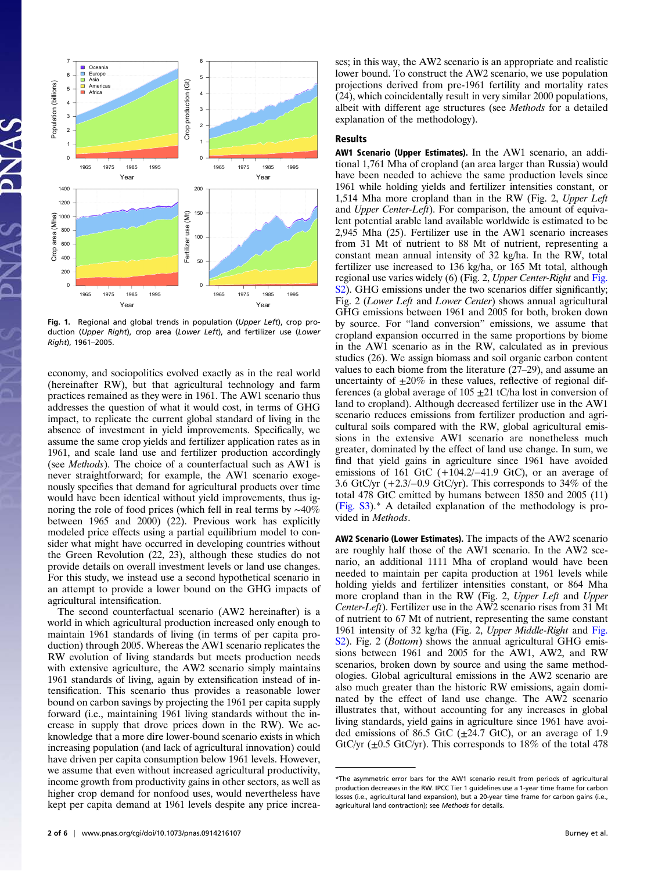

Fig. 1. Regional and global trends in population (Upper Left), crop production (Upper Right), crop area (Lower Left), and fertilizer use (Lower Right), 1961–2005.

economy, and sociopolitics evolved exactly as in the real world (hereinafter RW), but that agricultural technology and farm practices remained as they were in 1961. The AW1 scenario thus addresses the question of what it would cost, in terms of GHG impact, to replicate the current global standard of living in the absence of investment in yield improvements. Specifically, we assume the same crop yields and fertilizer application rates as in 1961, and scale land use and fertilizer production accordingly (see Methods). The choice of a counterfactual such as AW1 is never straightforward; for example, the AW1 scenario exogenously specifies that demand for agricultural products over time would have been identical without yield improvements, thus ignoring the role of food prices (which fell in real terms by ~40% between 1965 and 2000) (22). Previous work has explicitly modeled price effects using a partial equilibrium model to consider what might have occurred in developing countries without the Green Revolution (22, 23), although these studies do not provide details on overall investment levels or land use changes. For this study, we instead use a second hypothetical scenario in an attempt to provide a lower bound on the GHG impacts of agricultural intensification.

The second counterfactual scenario (AW2 hereinafter) is a world in which agricultural production increased only enough to maintain 1961 standards of living (in terms of per capita production) through 2005. Whereas the AW1 scenario replicates the RW evolution of living standards but meets production needs with extensive agriculture, the AW2 scenario simply maintains 1961 standards of living, again by extensification instead of intensification. This scenario thus provides a reasonable lower bound on carbon savings by projecting the 1961 per capita supply forward (i.e., maintaining 1961 living standards without the increase in supply that drove prices down in the RW). We acknowledge that a more dire lower-bound scenario exists in which increasing population (and lack of agricultural innovation) could have driven per capita consumption below 1961 levels. However, we assume that even without increased agricultural productivity, income growth from productivity gains in other sectors, as well as higher crop demand for nonfood uses, would nevertheless have kept per capita demand at 1961 levels despite any price increases; in this way, the AW2 scenario is an appropriate and realistic lower bound. To construct the AW2 scenario, we use population projections derived from pre-1961 fertility and mortality rates (24), which coincidentally result in very similar 2000 populations, albeit with different age structures (see Methods for a detailed explanation of the methodology).

## Results

AW1 Scenario (Upper Estimates). In the AW1 scenario, an additional 1,761 Mha of cropland (an area larger than Russia) would have been needed to achieve the same production levels since 1961 while holding yields and fertilizer intensities constant, or 1,514 Mha more cropland than in the RW (Fig. 2, Upper Left and Upper Center-Left). For comparison, the amount of equivalent potential arable land available worldwide is estimated to be 2,945 Mha (25). Fertilizer use in the AW1 scenario increases from 31 Mt of nutrient to 88 Mt of nutrient, representing a constant mean annual intensity of 32 kg/ha. In the RW, total fertilizer use increased to 136 kg/ha, or 165 Mt total, although regional use varies widely (6) (Fig. 2, Upper Center-Right and [Fig.](http://www.pnas.org/lookup/suppl/doi:10.1073/pnas.0914216107/-/DCSupplemental/pnas.200914216SI.pdf?targetid=nameddest=sfig02) [S2\)](http://www.pnas.org/lookup/suppl/doi:10.1073/pnas.0914216107/-/DCSupplemental/pnas.200914216SI.pdf?targetid=nameddest=sfig02). GHG emissions under the two scenarios differ significantly; Fig. 2 (Lower Left and Lower Center) shows annual agricultural GHG emissions between 1961 and 2005 for both, broken down by source. For "land conversion" emissions, we assume that cropland expansion occurred in the same proportions by biome in the AW1 scenario as in the RW, calculated as in previous studies (26). We assign biomass and soil organic carbon content values to each biome from the literature (27–29), and assume an uncertainty of  $\pm 20\%$  in these values, reflective of regional differences (a global average of  $105 \pm 21$  tC/ha lost in conversion of land to cropland). Although decreased fertilizer use in the AW1 scenario reduces emissions from fertilizer production and agricultural soils compared with the RW, global agricultural emissions in the extensive AW1 scenario are nonetheless much greater, dominated by the effect of land use change. In sum, we find that yield gains in agriculture since 1961 have avoided emissions of 161 GtC  $(+104.2/-41.9)$  GtC), or an average of 3.6 GtC/yr (+2.3/−0.9 GtC/yr). This corresponds to 34% of the total 478 GtC emitted by humans between 1850 and 2005 (11) ([Fig. S3](http://www.pnas.org/lookup/suppl/doi:10.1073/pnas.0914216107/-/DCSupplemental/pnas.200914216SI.pdf?targetid=nameddest=sfig03)).\* A detailed explanation of the methodology is provided in Methods.

AW2 Scenario (Lower Estimates). The impacts of the AW2 scenario are roughly half those of the AW1 scenario. In the AW2 scenario, an additional 1111 Mha of cropland would have been needed to maintain per capita production at 1961 levels while holding yields and fertilizer intensities constant, or 864 Mha more cropland than in the RW (Fig. 2, Upper Left and Upper Center-Left). Fertilizer use in the AW2 scenario rises from 31 Mt of nutrient to 67 Mt of nutrient, representing the same constant 1961 intensity of 32 kg/ha (Fig. 2, Upper Middle-Right and [Fig.](http://www.pnas.org/lookup/suppl/doi:10.1073/pnas.0914216107/-/DCSupplemental/pnas.200914216SI.pdf?targetid=nameddest=sfig02) [S2\)](http://www.pnas.org/lookup/suppl/doi:10.1073/pnas.0914216107/-/DCSupplemental/pnas.200914216SI.pdf?targetid=nameddest=sfig02). Fig. 2 (*Bottom*) shows the annual agricultural GHG emissions between 1961 and 2005 for the AW1, AW2, and RW scenarios, broken down by source and using the same methodologies. Global agricultural emissions in the AW2 scenario are also much greater than the historic RW emissions, again dominated by the effect of land use change. The AW2 scenario illustrates that, without accounting for any increases in global living standards, yield gains in agriculture since 1961 have avoided emissions of 86.5 GtC  $(\pm 24.7 \text{ GtC})$ , or an average of 1.9 GtC/yr  $(\pm 0.5 \text{ GtC/yr})$ . This corresponds to 18% of the total 478

<sup>\*</sup>The asymmetric error bars for the AW1 scenario result from periods of agricultural production decreases in the RW. IPCC Tier 1 guidelines use a 1-year time frame for carbon losses (i.e., agricultural land expansion), but a 20-year time frame for carbon gains (i.e., agricultural land contraction); see Methods for details.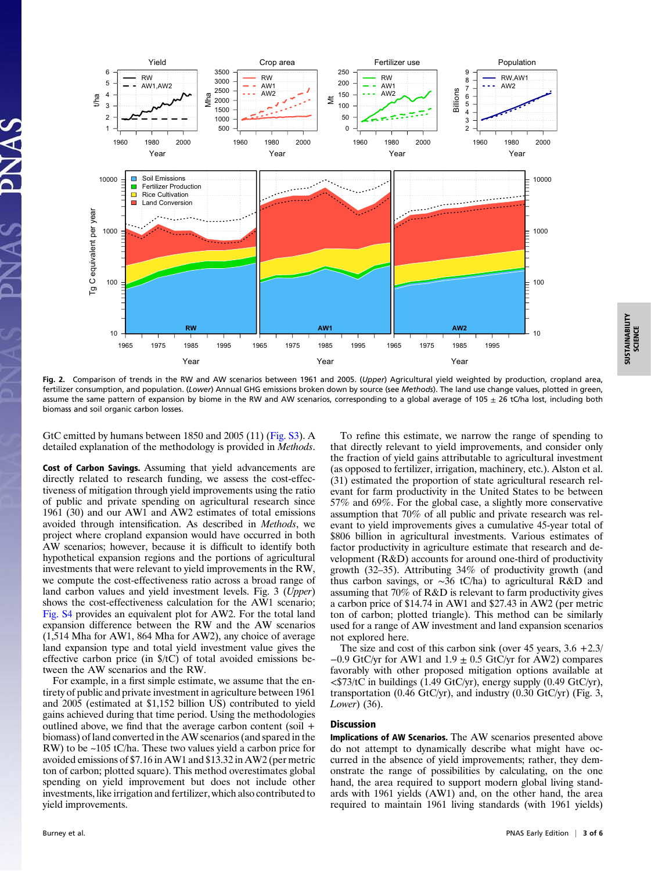

Fig. 2. Comparison of trends in the RW and AW scenarios between 1961 and 2005. (Upper) Agricultural yield weighted by production, cropland area, fertilizer consumption, and population. (Lower) Annual GHG emissions broken down by source (see Methods). The land use change values, plotted in green, assume the same pattern of expansion by biome in the RW and AW scenarios, corresponding to a global average of 105  $\pm$  26 tC/ha lost, including both biomass and soil organic carbon losses.

GtC emitted by humans between 1850 and 2005 (11) ([Fig. S3\)](http://www.pnas.org/lookup/suppl/doi:10.1073/pnas.0914216107/-/DCSupplemental/pnas.200914216SI.pdf?targetid=nameddest=sfig03). A detailed explanation of the methodology is provided in Methods.

Cost of Carbon Savings. Assuming that yield advancements are directly related to research funding, we assess the cost-effectiveness of mitigation through yield improvements using the ratio of public and private spending on agricultural research since 1961 (30) and our AW1 and AW2 estimates of total emissions avoided through intensification. As described in Methods, we project where cropland expansion would have occurred in both AW scenarios; however, because it is difficult to identify both hypothetical expansion regions and the portions of agricultural investments that were relevant to yield improvements in the RW, we compute the cost-effectiveness ratio across a broad range of land carbon values and yield investment levels. Fig. 3 (Upper) shows the cost-effectiveness calculation for the AW1 scenario; [Fig. S4](http://www.pnas.org/lookup/suppl/doi:10.1073/pnas.0914216107/-/DCSupplemental/pnas.200914216SI.pdf?targetid=nameddest=sfig04) provides an equivalent plot for AW2. For the total land expansion difference between the RW and the AW scenarios (1,514 Mha for AW1, 864 Mha for AW2), any choice of average land expansion type and total yield investment value gives the effective carbon price (in \$/tC) of total avoided emissions between the AW scenarios and the RW.

For example, in a first simple estimate, we assume that the entirety of public and private investment in agriculture between 1961 and 2005 (estimated at \$1,152 billion US) contributed to yield gains achieved during that time period. Using the methodologies outlined above, we find that the average carbon content (soil  $+$ biomass) of land converted in the AW scenarios (and spared in the RW) to be ~105 tC/ha. These two values yield a carbon price for avoided emissions of \$7.16 in AW1 and \$13.32 in AW2 (per metric ton of carbon; plotted square). This method overestimates global spending on yield improvement but does not include other investments, like irrigation and fertilizer, which also contributed to yield improvements.

To refine this estimate, we narrow the range of spending to that directly relevant to yield improvements, and consider only the fraction of yield gains attributable to agricultural investment (as opposed to fertilizer, irrigation, machinery, etc.). Alston et al. (31) estimated the proportion of state agricultural research relevant for farm productivity in the United States to be between 57% and 69%. For the global case, a slightly more conservative assumption that 70% of all public and private research was relevant to yield improvements gives a cumulative 45-year total of \$806 billion in agricultural investments. Various estimates of factor productivity in agriculture estimate that research and development (R&D) accounts for around one-third of productivity growth (32–35). Attributing 34% of productivity growth (and thus carbon savings, or ∼36 tC/ha) to agricultural R&D and assuming that 70% of R&D is relevant to farm productivity gives a carbon price of \$14.74 in AW1 and \$27.43 in AW2 (per metric ton of carbon; plotted triangle). This method can be similarly used for a range of AW investment and land expansion scenarios not explored here.

The size and cost of this carbon sink (over  $45$  years,  $3.6 + 2.3/$  $-0.9$  GtC/yr for AW1 and  $1.9 \pm 0.5$  GtC/yr for AW2) compares favorably with other proposed mitigation options available at  $\langle$ \$73/tC in buildings (1.49 GtC/yr), energy supply (0.49 GtC/yr), transportation (0.46 GtC/yr), and industry (0.30 GtC/yr) (Fig. 3, Lower) (36).

### Discussion

Implications of AW Scenarios. The AW scenarios presented above do not attempt to dynamically describe what might have occurred in the absence of yield improvements; rather, they demonstrate the range of possibilities by calculating, on the one hand, the area required to support modern global living standards with 1961 yields (AW1) and, on the other hand, the area required to maintain 1961 living standards (with 1961 yields)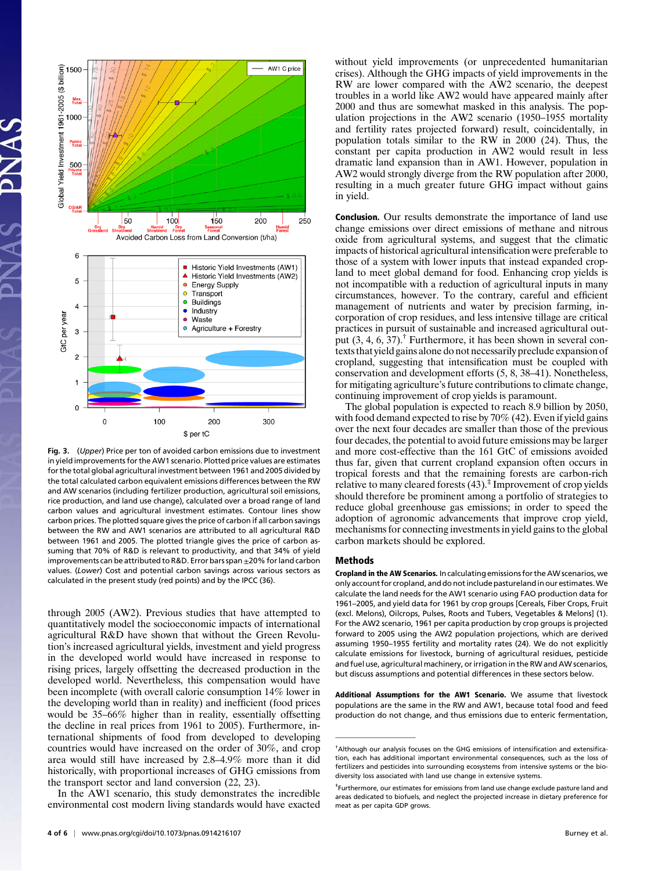

Fig. 3. (Upper) Price per ton of avoided carbon emissions due to investment in yield improvements for the AW1 scenario. Plotted price values are estimates for the total global agricultural investment between 1961 and 2005 divided by the total calculated carbon equivalent emissions differences between the RW and AW scenarios (including fertilizer production, agricultural soil emissions, rice production, and land use change), calculated over a broad range of land carbon values and agricultural investment estimates. Contour lines show carbon prices. The plotted square gives the price of carbon if all carbon savings between the RW and AW1 scenarios are attributed to all agricultural R&D between 1961 and 2005. The plotted triangle gives the price of carbon assuming that 70% of R&D is relevant to productivity, and that 34% of yield improvements can be attributed to R&D. Error bars span  $\pm$ 20% for land carbon values. (Lower) Cost and potential carbon savings across various sectors as calculated in the present study (red points) and by the IPCC (36).

through 2005 (AW2). Previous studies that have attempted to quantitatively model the socioeconomic impacts of international agricultural R&D have shown that without the Green Revolution's increased agricultural yields, investment and yield progress in the developed world would have increased in response to rising prices, largely offsetting the decreased production in the developed world. Nevertheless, this compensation would have been incomplete (with overall calorie consumption 14% lower in the developing world than in reality) and inefficient (food prices would be 35–66% higher than in reality, essentially offsetting the decline in real prices from 1961 to 2005). Furthermore, international shipments of food from developed to developing countries would have increased on the order of 30%, and crop area would still have increased by 2.8–4.9% more than it did historically, with proportional increases of GHG emissions from the transport sector and land conversion (22, 23).

In the AW1 scenario, this study demonstrates the incredible environmental cost modern living standards would have exacted without yield improvements (or unprecedented humanitarian crises). Although the GHG impacts of yield improvements in the RW are lower compared with the AW2 scenario, the deepest troubles in a world like AW2 would have appeared mainly after 2000 and thus are somewhat masked in this analysis. The population projections in the AW2 scenario (1950–1955 mortality and fertility rates projected forward) result, coincidentally, in population totals similar to the RW in 2000 (24). Thus, the constant per capita production in AW2 would result in less dramatic land expansion than in AW1. However, population in AW2 would strongly diverge from the RW population after 2000, resulting in a much greater future GHG impact without gains in yield.

Conclusion. Our results demonstrate the importance of land use change emissions over direct emissions of methane and nitrous oxide from agricultural systems, and suggest that the climatic impacts of historical agricultural intensification were preferable to those of a system with lower inputs that instead expanded cropland to meet global demand for food. Enhancing crop yields is not incompatible with a reduction of agricultural inputs in many circumstances, however. To the contrary, careful and efficient management of nutrients and water by precision farming, incorporation of crop residues, and less intensive tillage are critical practices in pursuit of sustainable and increased agricultural output  $(3, 4, 6, 37)$ .<sup>†</sup> Furthermore, it has been shown in several contexts that yield gains alone do not necessarily preclude expansion of cropland, suggesting that intensification must be coupled with conservation and development efforts (5, 8, 38–41). Nonetheless, for mitigating agriculture's future contributions to climate change, continuing improvement of crop yields is paramount.

The global population is expected to reach 8.9 billion by 2050, with food demand expected to rise by 70% (42). Even if yield gains over the next four decades are smaller than those of the previous four decades, the potential to avoid future emissions may be larger and more cost-effective than the 161 GtC of emissions avoided thus far, given that current cropland expansion often occurs in tropical forests and that the remaining forests are carbon-rich relative to many cleared forests  $(43)$ .<sup> $\ddagger$ </sup> Improvement of crop yields should therefore be prominent among a portfolio of strategies to reduce global greenhouse gas emissions; in order to speed the adoption of agronomic advancements that improve crop yield, mechanisms for connecting investments in yield gains to the global carbon markets should be explored.

### Methods

Cropland in the AW Scenarios. In calculating emissions for the AW scenarios, we only account for cropland, and do not include pastureland in our estimates.We calculate the land needs for the AW1 scenario using FAO production data for 1961–2005, and yield data for 1961 by crop groups [Cereals, Fiber Crops, Fruit (excl. Melons), Oilcrops, Pulses, Roots and Tubers, Vegetables & Melons] (1). For the AW2 scenario, 1961 per capita production by crop groups is projected forward to 2005 using the AW2 population projections, which are derived assuming 1950–1955 fertility and mortality rates (24). We do not explicitly calculate emissions for livestock, burning of agricultural residues, pesticide and fuel use, agricultural machinery, or irrigation in the RW and AW scenarios, but discuss assumptions and potential differences in these sectors below.

Additional Assumptions for the AW1 Scenario. We assume that livestock populations are the same in the RW and AW1, because total food and feed production do not change, and thus emissions due to enteric fermentation,

<sup>†</sup> Although our analysis focuses on the GHG emissions of intensification and extensification, each has additional important environmental consequences, such as the loss of fertilizers and pesticides into surrounding ecosystems from intensive systems or the biodiversity loss associated with land use change in extensive systems.

<sup>‡</sup> Furthermore, our estimates for emissions from land use change exclude pasture land and areas dedicated to biofuels, and neglect the projected increase in dietary preference for meat as per capita GDP grows.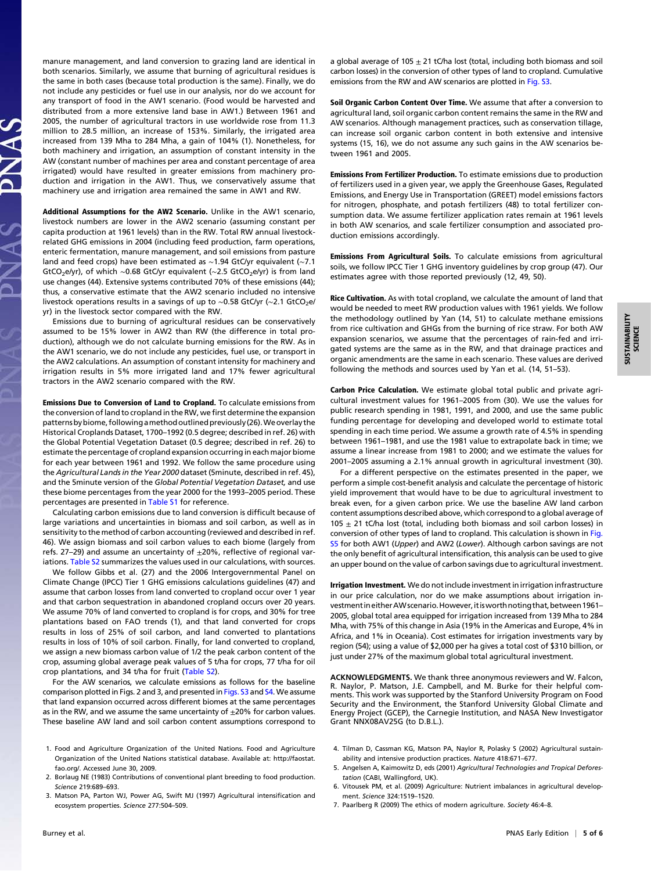manure management, and land conversion to grazing land are identical in both scenarios. Similarly, we assume that burning of agricultural residues is the same in both cases (because total production is the same). Finally, we do not include any pesticides or fuel use in our analysis, nor do we account for any transport of food in the AW1 scenario. (Food would be harvested and distributed from a more extensive land base in AW1.) Between 1961 and 2005, the number of agricultural tractors in use worldwide rose from 11.3 million to 28.5 million, an increase of 153%. Similarly, the irrigated area increased from 139 Mha to 284 Mha, a gain of 104% (1). Nonetheless, for both machinery and irrigation, an assumption of constant intensity in the AW (constant number of machines per area and constant percentage of area irrigated) would have resulted in greater emissions from machinery production and irrigation in the AW1. Thus, we conservatively assume that machinery use and irrigation area remained the same in AW1 and RW.

Additional Assumptions for the AW2 Scenario. Unlike in the AW1 scenario, livestock numbers are lower in the AW2 scenario (assuming constant per capita production at 1961 levels) than in the RW. Total RW annual livestockrelated GHG emissions in 2004 (including feed production, farm operations, enteric fermentation, manure management, and soil emissions from pasture land and feed crops) have been estimated as ∼1.94 GtC/yr equivalent (∼7.1 GtCO<sub>2</sub>e/yr), of which ~0.68 GtC/yr equivalent (~2.5 GtCO<sub>2</sub>e/yr) is from land use changes (44). Extensive systems contributed 70% of these emissions (44); thus, a conservative estimate that the AW2 scenario included no intensive livestock operations results in a savings of up to ~0.58 GtC/yr (~2.1 GtCO2e/ yr) in the livestock sector compared with the RW.

Emissions due to burning of agricultural residues can be conservatively assumed to be 15% lower in AW2 than RW (the difference in total production), although we do not calculate burning emissions for the RW. As in the AW1 scenario, we do not include any pesticides, fuel use, or transport in the AW2 calculations. An assumption of constant intensity for machinery and irrigation results in 5% more irrigated land and 17% fewer agricultural tractors in the AW2 scenario compared with the RW.

Emissions Due to Conversion of Land to Cropland. To calculate emissions from the conversion of land to cropland in the RW, we first determine the expansion patterns by biome, following a method outlined previously (26). We overlay the Historical Croplands Dataset, 1700–1992 (0.5 degree; described in ref. 26) with the Global Potential Vegetation Dataset (0.5 degree; described in ref. 26) to estimate the percentage of cropland expansion occurring in each major biome for each year between 1961 and 1992. We follow the same procedure using the Agricultural Lands in the Year 2000 dataset (5minute, described in ref. 45), and the 5minute version of the Global Potential Vegetation Dataset, and use these biome percentages from the year 2000 for the 1993–2005 period. These percentages are presented in [Table S1](http://www.pnas.org/lookup/suppl/doi:10.1073/pnas.0914216107/-/DCSupplemental/pnas.200914216SI.pdf?targetid=nameddest=st01) for reference.

Calculating carbon emissions due to land conversion is difficult because of large variations and uncertainties in biomass and soil carbon, as well as in sensitivity to the method of carbon accounting (reviewed and described in ref. 46). We assign biomass and soil carbon values to each biome (largely from refs. 27–29) and assume an uncertainty of  $\pm$ 20%, reflective of regional var-iations. [Table S2](http://www.pnas.org/lookup/suppl/doi:10.1073/pnas.0914216107/-/DCSupplemental/pnas.200914216SI.pdf?targetid=nameddest=st02) summarizes the values used in our calculations, with sources.

We follow Gibbs et al. (27) and the 2006 Intergovernmental Panel on Climate Change (IPCC) Tier 1 GHG emissions calculations guidelines (47) and assume that carbon losses from land converted to cropland occur over 1 year and that carbon sequestration in abandoned cropland occurs over 20 years. We assume 70% of land converted to cropland is for crops, and 30% for tree plantations based on FAO trends (1), and that land converted for crops results in loss of 25% of soil carbon, and land converted to plantations results in loss of 10% of soil carbon. Finally, for land converted to cropland, we assign a new biomass carbon value of 1/2 the peak carbon content of the crop, assuming global average peak values of 5 t/ha for crops, 77 t/ha for oil crop plantations, and 34 t/ha for fruit ([Table S2](http://www.pnas.org/lookup/suppl/doi:10.1073/pnas.0914216107/-/DCSupplemental/pnas.200914216SI.pdf?targetid=nameddest=st02)).

For the AW scenarios, we calculate emissions as follows for the baseline comparison plotted in Figs. 2 and 3, and presented in [Figs. S3](http://www.pnas.org/lookup/suppl/doi:10.1073/pnas.0914216107/-/DCSupplemental/pnas.200914216SI.pdf?targetid=nameddest=sfig03) and [S4](http://www.pnas.org/lookup/suppl/doi:10.1073/pnas.0914216107/-/DCSupplemental/pnas.200914216SI.pdf?targetid=nameddest=sfig04). We assume that land expansion occurred across different biomes at the same percentages as in the RW, and we assume the same uncertainty of  $\pm 20\%$  for carbon values. These baseline AW land and soil carbon content assumptions correspond to

- 1. Food and Agriculture Organization of the United Nations. Food and Agriculture Organization of the United Nations statistical database. Available at: [http://faostat.](http://faostat.fao.org/.) [fao.org/.](http://faostat.fao.org/.) Accessed June 30, 2009.
- 2. Borlaug NE (1983) Contributions of conventional plant breeding to food production. Science 219:689–693.
- 3. Matson PA, Parton WJ, Power AG, Swift MJ (1997) Agricultural intensification and ecosystem properties. Science 277:504–509.

a global average of 105  $\pm$  21 tC/ha lost (total, including both biomass and soil carbon losses) in the conversion of other types of land to cropland. Cumulative emissions from the RW and AW scenarios are plotted in [Fig. S3](http://www.pnas.org/lookup/suppl/doi:10.1073/pnas.0914216107/-/DCSupplemental/pnas.200914216SI.pdf?targetid=nameddest=sfig03).

Soil Organic Carbon Content Over Time. We assume that after a conversion to agricultural land, soil organic carbon content remains the same in the RW and AW scenarios. Although management practices, such as conservation tillage, can increase soil organic carbon content in both extensive and intensive systems (15, 16), we do not assume any such gains in the AW scenarios between 1961 and 2005.

Emissions From Fertilizer Production. To estimate emissions due to production of fertilizers used in a given year, we apply the Greenhouse Gases, Regulated Emissions, and Energy Use in Transportation (GREET) model emissions factors for nitrogen, phosphate, and potash fertilizers (48) to total fertilizer consumption data. We assume fertilizer application rates remain at 1961 levels in both AW scenarios, and scale fertilizer consumption and associated production emissions accordingly.

Emissions From Agricultural Soils. To calculate emissions from agricultural soils, we follow IPCC Tier 1 GHG inventory guidelines by crop group (47). Our estimates agree with those reported previously (12, 49, 50).

Rice Cultivation. As with total cropland, we calculate the amount of land that would be needed to meet RW production values with 1961 yields. We follow the methodology outlined by Yan (14, 51) to calculate methane emissions from rice cultivation and GHGs from the burning of rice straw. For both AW expansion scenarios, we assume that the percentages of rain-fed and irrigated systems are the same as in the RW, and that drainage practices and organic amendments are the same in each scenario. These values are derived following the methods and sources used by Yan et al. (14, 51–53).

Carbon Price Calculation. We estimate global total public and private agricultural investment values for 1961–2005 from (30). We use the values for public research spending in 1981, 1991, and 2000, and use the same public funding percentage for developing and developed world to estimate total spending in each time period. We assume a growth rate of 4.5% in spending between 1961–1981, and use the 1981 value to extrapolate back in time; we assume a linear increase from 1981 to 2000; and we estimate the values for 2001–2005 assuming a 2.1% annual growth in agricultural investment (30).

For a different perspective on the estimates presented in the paper, we perform a simple cost-benefit analysis and calculate the percentage of historic yield improvement that would have to be due to agricultural investment to break even, for a given carbon price. We use the baseline AW land carbon content assumptions described above, which correspond to a global average of 105  $\pm$  21 tC/ha lost (total, including both biomass and soil carbon losses) in conversion of other types of land to cropland. This calculation is shown in [Fig.](http://www.pnas.org/lookup/suppl/doi:10.1073/pnas.0914216107/-/DCSupplemental/pnas.200914216SI.pdf?targetid=nameddest=sfig05) [S5](http://www.pnas.org/lookup/suppl/doi:10.1073/pnas.0914216107/-/DCSupplemental/pnas.200914216SI.pdf?targetid=nameddest=sfig05) for both AW1 (Upper) and AW2 (Lower). Although carbon savings are not the only benefit of agricultural intensification, this analysis can be used to give an upper bound on the value of carbon savings due to agricultural investment.

Irrigation Investment. We do not include investment in irrigation infrastructure in our price calculation, nor do we make assumptions about irrigation investment in either AW scenario. However, it is worth noting that, between 1961-2005, global total area equipped for irrigation increased from 139 Mha to 284 Mha, with 75% of this change in Asia (19% in the Americas and Europe, 4% in Africa, and 1% in Oceania). Cost estimates for irrigation investments vary by region (54); using a value of \$2,000 per ha gives a total cost of \$310 billion, or just under 27% of the maximum global total agricultural investment.

ACKNOWLEDGMENTS. We thank three anonymous reviewers and W. Falcon, R. Naylor, P. Matson, J.E. Campbell, and M. Burke for their helpful comments. This work was supported by the Stanford University Program on Food Security and the Environment, the Stanford University Global Climate and Energy Project (GCEP), the Carnegie Institution, and NASA New Investigator Grant NNX08AV25G (to D.B.L.).

- 4. Tilman D, Cassman KG, Matson PA, Naylor R, Polasky S (2002) Agricultural sustainability and intensive production practices. Nature 418:671–677.
- 5. Angelsen A, Kaimowitz D, eds (2001) Agricultural Technologies and Tropical Deforestation (CABI, Wallingford, UK).
- 6. Vitousek PM, et al. (2009) Agriculture: Nutrient imbalances in agricultural development. Science 324:1519–1520.
- 7. Paarlberg R (2009) The ethics of modern agriculture. Society 46:4–8.